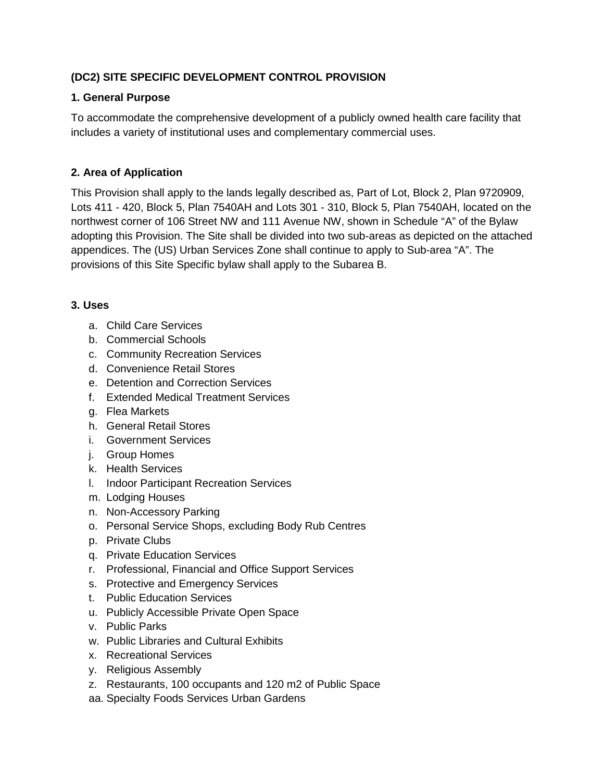## **(DC2) SITE SPECIFIC DEVELOPMENT CONTROL PROVISION**

## **1. General Purpose**

To accommodate the comprehensive development of a publicly owned health care facility that includes a variety of institutional uses and complementary commercial uses.

## **2. Area of Application**

This Provision shall apply to the lands legally described as, Part of Lot, Block 2, Plan 9720909, Lots 411 - 420, Block 5, Plan 7540AH and Lots 301 - 310, Block 5, Plan 7540AH, located on the northwest corner of 106 Street NW and 111 Avenue NW, shown in Schedule "A" of the Bylaw adopting this Provision. The Site shall be divided into two sub-areas as depicted on the attached appendices. The (US) Urban Services Zone shall continue to apply to Sub-area "A". The provisions of this Site Specific bylaw shall apply to the Subarea B.

### **3. Uses**

- a. Child Care Services
- b. Commercial Schools
- c. Community Recreation Services
- d. Convenience Retail Stores
- e. Detention and Correction Services
- f. Extended Medical Treatment Services
- g. Flea Markets
- h. General Retail Stores
- i. Government Services
- j. Group Homes
- k. Health Services
- l. Indoor Participant Recreation Services
- m. Lodging Houses
- n. Non-Accessory Parking
- o. Personal Service Shops, excluding Body Rub Centres
- p. Private Clubs
- q. Private Education Services
- r. Professional, Financial and Office Support Services
- s. Protective and Emergency Services
- t. Public Education Services
- u. Publicly Accessible Private Open Space
- v. Public Parks
- w. Public Libraries and Cultural Exhibits
- x. Recreational Services
- y. Religious Assembly
- z. Restaurants, 100 occupants and 120 m2 of Public Space
- aa. Specialty Foods Services Urban Gardens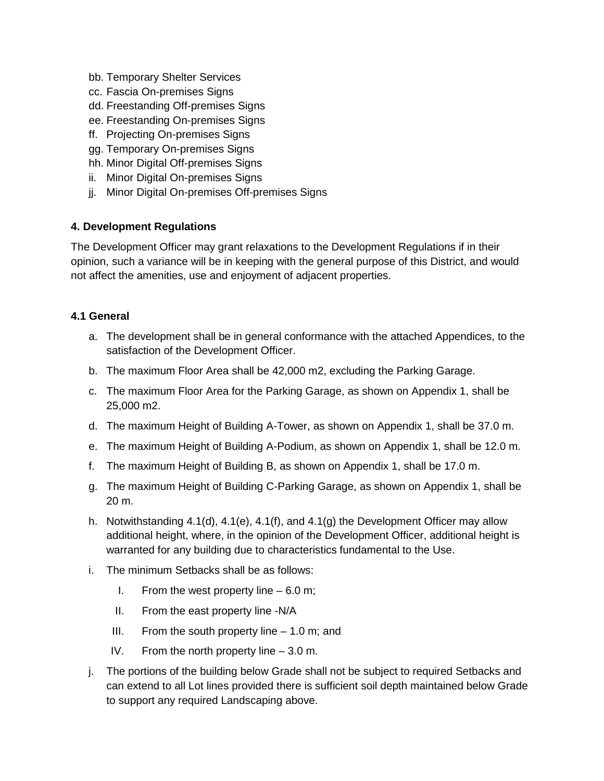- bb. Temporary Shelter Services
- cc. Fascia On-premises Signs
- dd. Freestanding Off-premises Signs
- ee. Freestanding On-premises Signs
- ff. Projecting On-premises Signs
- gg. Temporary On-premises Signs
- hh. Minor Digital Off-premises Signs
- ii. Minor Digital On-premises Signs
- jj. Minor Digital On-premises Off-premises Signs

#### **4. Development Regulations**

The Development Officer may grant relaxations to the Development Regulations if in their opinion, such a variance will be in keeping with the general purpose of this District, and would not affect the amenities, use and enjoyment of adjacent properties.

#### **4.1 General**

- a. The development shall be in general conformance with the attached Appendices, to the satisfaction of the Development Officer.
- b. The maximum Floor Area shall be 42,000 m2, excluding the Parking Garage.
- c. The maximum Floor Area for the Parking Garage, as shown on Appendix 1, shall be 25,000 m2.
- d. The maximum Height of Building A-Tower, as shown on Appendix 1, shall be 37.0 m.
- e. The maximum Height of Building A-Podium, as shown on Appendix 1, shall be 12.0 m.
- f. The maximum Height of Building B, as shown on Appendix 1, shall be 17.0 m.
- g. The maximum Height of Building C-Parking Garage, as shown on Appendix 1, shall be 20 m.
- h. Notwithstanding  $4.1(d)$ ,  $4.1(e)$ ,  $4.1(f)$ , and  $4.1(g)$  the Development Officer may allow additional height, where, in the opinion of the Development Officer, additional height is warranted for any building due to characteristics fundamental to the Use.
- i. The minimum Setbacks shall be as follows:
	- I. From the west property line  $-6.0$  m;
	- II. From the east property line -N/A
	- III. From the south property line  $-1.0$  m; and
	- IV. From the north property line 3.0 m.
- j. The portions of the building below Grade shall not be subject to required Setbacks and can extend to all Lot lines provided there is sufficient soil depth maintained below Grade to support any required Landscaping above.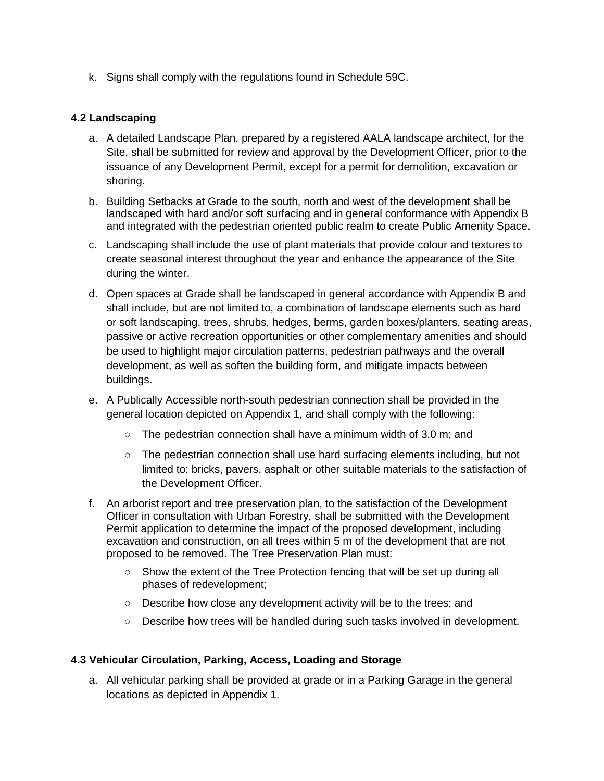k. Signs shall comply with the regulations found in Schedule 59C.

### **4.2 Landscaping**

- a. A detailed Landscape Plan, prepared by a registered AALA landscape architect, for the Site, shall be submitted for review and approval by the Development Officer, prior to the issuance of any Development Permit, except for a permit for demolition, excavation or shoring.
- b. Building Setbacks at Grade to the south, north and west of the development shall be landscaped with hard and/or soft surfacing and in general conformance with Appendix B and integrated with the pedestrian oriented public realm to create Public Amenity Space.
- c. Landscaping shall include the use of plant materials that provide colour and textures to create seasonal interest throughout the year and enhance the appearance of the Site during the winter.
- d. Open spaces at Grade shall be landscaped in general accordance with Appendix B and shall include, but are not limited to, a combination of landscape elements such as hard or soft landscaping, trees, shrubs, hedges, berms, garden boxes/planters, seating areas, passive or active recreation opportunities or other complementary amenities and should be used to highlight major circulation patterns, pedestrian pathways and the overall development, as well as soften the building form, and mitigate impacts between buildings.
- e. A Publically Accessible north-south pedestrian connection shall be provided in the general location depicted on Appendix 1, and shall comply with the following:
	- $\circ$  The pedestrian connection shall have a minimum width of 3.0 m; and
	- The pedestrian connection shall use hard surfacing elements including, but not limited to: bricks, pavers, asphalt or other suitable materials to the satisfaction of the Development Officer.
- f. An arborist report and tree preservation plan, to the satisfaction of the Development Officer in consultation with Urban Forestry, shall be submitted with the Development Permit application to determine the impact of the proposed development, including excavation and construction, on all trees within 5 m of the development that are not proposed to be removed. The Tree Preservation Plan must:
	- Show the extent of the Tree Protection fencing that will be set up during all phases of redevelopment;
	- Describe how close any development activity will be to the trees; and
	- Describe how trees will be handled during such tasks involved in development.

#### **4.3 Vehicular Circulation, Parking, Access, Loading and Storage**

a. All vehicular parking shall be provided at grade or in a Parking Garage in the general locations as depicted in Appendix 1.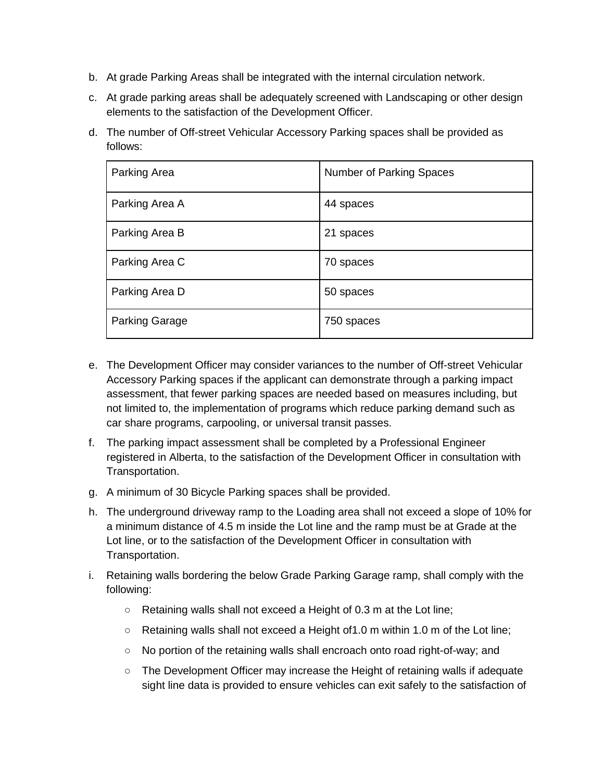- b. At grade Parking Areas shall be integrated with the internal circulation network.
- c. At grade parking areas shall be adequately screened with Landscaping or other design elements to the satisfaction of the Development Officer.
- d. The number of Off-street Vehicular Accessory Parking spaces shall be provided as follows:

| Parking Area          | Number of Parking Spaces |
|-----------------------|--------------------------|
| Parking Area A        | 44 spaces                |
| Parking Area B        | 21 spaces                |
| Parking Area C        | 70 spaces                |
| Parking Area D        | 50 spaces                |
| <b>Parking Garage</b> | 750 spaces               |

- e. The Development Officer may consider variances to the number of Off-street Vehicular Accessory Parking spaces if the applicant can demonstrate through a parking impact assessment, that fewer parking spaces are needed based on measures including, but not limited to, the implementation of programs which reduce parking demand such as car share programs, carpooling, or universal transit passes.
- f. The parking impact assessment shall be completed by a Professional Engineer registered in Alberta, to the satisfaction of the Development Officer in consultation with Transportation.
- g. A minimum of 30 Bicycle Parking spaces shall be provided.
- h. The underground driveway ramp to the Loading area shall not exceed a slope of 10% for a minimum distance of 4.5 m inside the Lot line and the ramp must be at Grade at the Lot line, or to the satisfaction of the Development Officer in consultation with Transportation.
- i. Retaining walls bordering the below Grade Parking Garage ramp, shall comply with the following:
	- Retaining walls shall not exceed a Height of 0.3 m at the Lot line;
	- $\circ$  Retaining walls shall not exceed a Height of 1.0 m within 1.0 m of the Lot line;
	- No portion of the retaining walls shall encroach onto road right-of-way; and
	- The Development Officer may increase the Height of retaining walls if adequate sight line data is provided to ensure vehicles can exit safely to the satisfaction of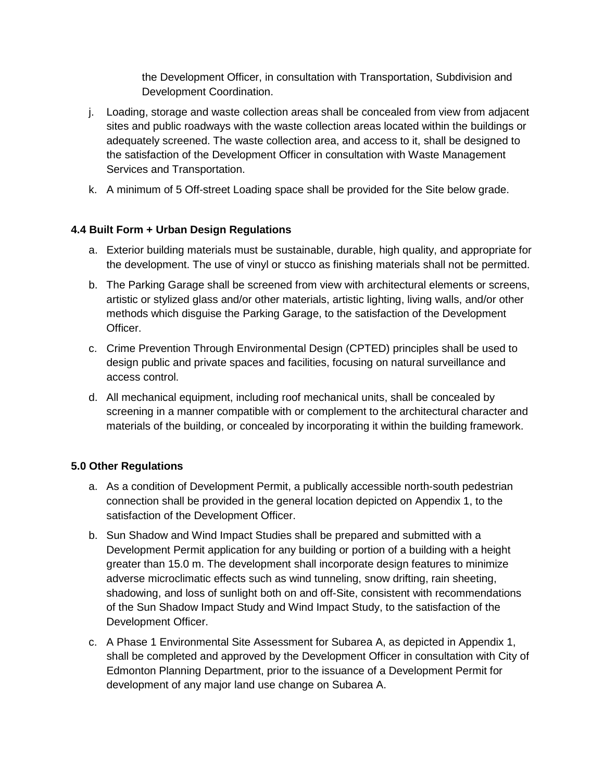the Development Officer, in consultation with Transportation, Subdivision and Development Coordination.

- j. Loading, storage and waste collection areas shall be concealed from view from adjacent sites and public roadways with the waste collection areas located within the buildings or adequately screened. The waste collection area, and access to it, shall be designed to the satisfaction of the Development Officer in consultation with Waste Management Services and Transportation.
- k. A minimum of 5 Off-street Loading space shall be provided for the Site below grade.

# **4.4 Built Form + Urban Design Regulations**

- a. Exterior building materials must be sustainable, durable, high quality, and appropriate for the development. The use of vinyl or stucco as finishing materials shall not be permitted.
- b. The Parking Garage shall be screened from view with architectural elements or screens, artistic or stylized glass and/or other materials, artistic lighting, living walls, and/or other methods which disguise the Parking Garage, to the satisfaction of the Development Officer.
- c. Crime Prevention Through Environmental Design (CPTED) principles shall be used to design public and private spaces and facilities, focusing on natural surveillance and access control.
- d. All mechanical equipment, including roof mechanical units, shall be concealed by screening in a manner compatible with or complement to the architectural character and materials of the building, or concealed by incorporating it within the building framework.

# **5.0 Other Regulations**

- a. As a condition of Development Permit, a publically accessible north-south pedestrian connection shall be provided in the general location depicted on Appendix 1, to the satisfaction of the Development Officer.
- b. Sun Shadow and Wind Impact Studies shall be prepared and submitted with a Development Permit application for any building or portion of a building with a height greater than 15.0 m. The development shall incorporate design features to minimize adverse microclimatic effects such as wind tunneling, snow drifting, rain sheeting, shadowing, and loss of sunlight both on and off-Site, consistent with recommendations of the Sun Shadow Impact Study and Wind Impact Study, to the satisfaction of the Development Officer.
- c. A Phase 1 Environmental Site Assessment for Subarea A, as depicted in Appendix 1, shall be completed and approved by the Development Officer in consultation with City of Edmonton Planning Department, prior to the issuance of a Development Permit for development of any major land use change on Subarea A.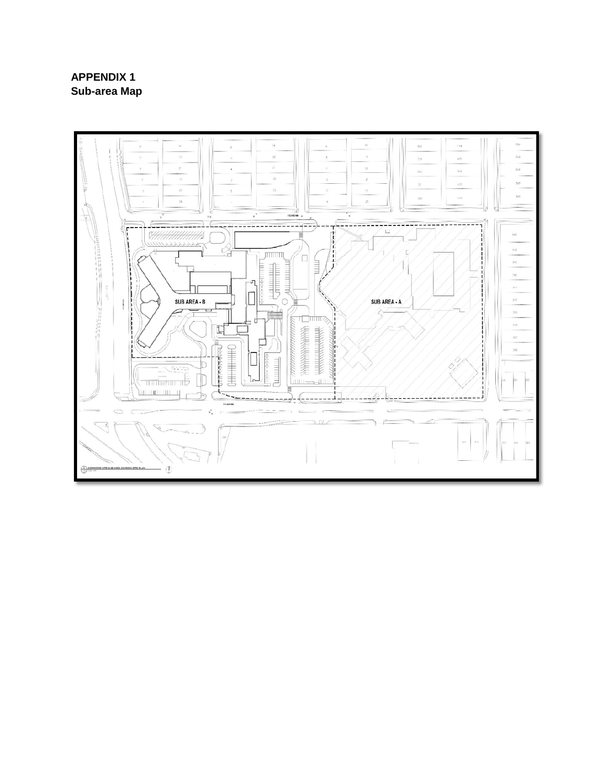# **APPENDIX 1 Sub-area Map**

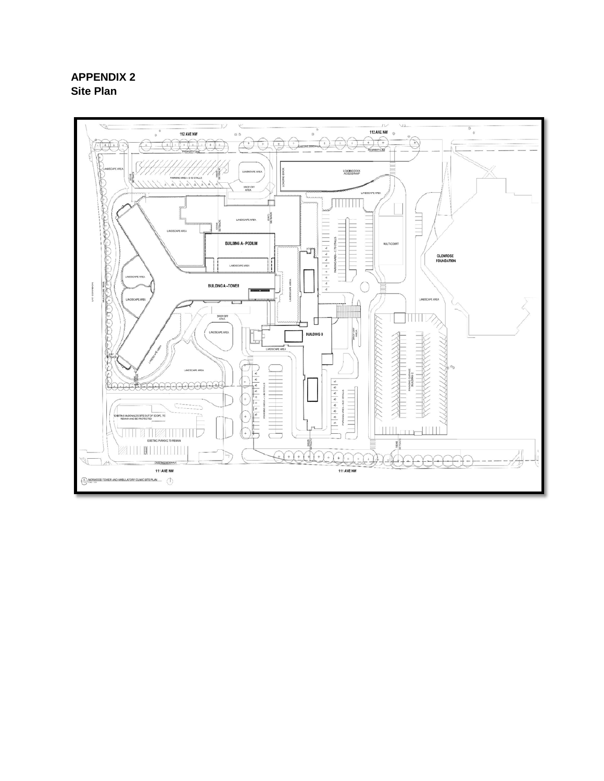# **APPENDIX 2 Site Plan**